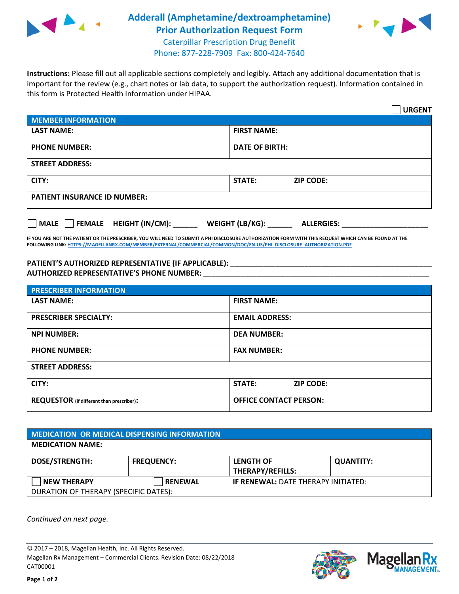

## **Adderall (Amphetamine/dextroamphetamine) Prior Authorization Request Form** Caterpillar Prescription Drug Benefit



Phone: 877-228-7909 Fax: 800-424-7640

**Instructions:** Please fill out all applicable sections completely and legibly. Attach any additional documentation that is important for the review (e.g., chart notes or lab data, to support the authorization request). Information contained in this form is Protected Health Information under HIPAA.

|                                                | <b>URGENT</b>                          |  |  |  |
|------------------------------------------------|----------------------------------------|--|--|--|
| <b>MEMBER INFORMATION</b>                      |                                        |  |  |  |
| <b>LAST NAME:</b>                              | <b>FIRST NAME:</b>                     |  |  |  |
| <b>PHONE NUMBER:</b>                           | <b>DATE OF BIRTH:</b>                  |  |  |  |
| <b>STREET ADDRESS:</b>                         |                                        |  |  |  |
| CITY:                                          | STATE:<br><b>ZIP CODE:</b>             |  |  |  |
| <b>PATIENT INSURANCE ID NUMBER:</b>            |                                        |  |  |  |
| $\Box$ FEMALE HEIGHT (IN/CM): _<br><b>MALE</b> | WEIGHT (LB/KG): _<br><b>ALLERGIES:</b> |  |  |  |

**IF YOU ARE NOT THE PATIENT OR THE PRESCRIBER, YOU WILL NEED TO SUBMIT A PHI DISCLOSURE AUTHORIZATION FORM WITH THIS REQUEST WHICH CAN BE FOUND AT THE FOLLOWING LINK[: HTTPS://MAGELLANRX.COM/MEMBER/EXTERNAL/COMMERCIAL/COMMON/DOC/EN-US/PHI\\_DISCLOSURE\\_AUTHORIZATION.PDF](https://magellanrx.com/member/external/commercial/common/doc/en-us/PHI_Disclosure_Authorization.pdf)**

**PATIENT'S AUTHORIZED REPRESENTATIVE (IF APPLICABLE): \_\_\_\_\_\_\_\_\_\_\_\_\_\_\_\_\_\_\_\_\_\_\_\_\_\_\_\_\_\_\_\_\_\_\_\_\_\_\_\_\_\_\_\_\_\_\_\_\_ AUTHORIZED REPRESENTATIVE'S PHONE NUMBER:** \_\_\_\_\_\_\_\_\_\_\_\_\_\_\_\_\_\_\_\_\_\_\_\_\_\_\_\_\_\_\_\_\_\_\_\_\_\_\_\_\_\_\_\_\_\_\_\_\_\_\_\_\_\_\_

| <b>PRESCRIBER INFORMATION</b>             |                               |  |  |  |
|-------------------------------------------|-------------------------------|--|--|--|
| <b>LAST NAME:</b>                         | <b>FIRST NAME:</b>            |  |  |  |
| <b>PRESCRIBER SPECIALTY:</b>              | <b>EMAIL ADDRESS:</b>         |  |  |  |
| <b>NPI NUMBER:</b>                        | <b>DEA NUMBER:</b>            |  |  |  |
| <b>PHONE NUMBER:</b>                      | <b>FAX NUMBER:</b>            |  |  |  |
| <b>STREET ADDRESS:</b>                    |                               |  |  |  |
| CITY:                                     | STATE:<br><b>ZIP CODE:</b>    |  |  |  |
| REQUESTOR (if different than prescriber): | <b>OFFICE CONTACT PERSON:</b> |  |  |  |

| MEDICATION OR MEDICAL DISPENSING INFORMATION |                   |                                            |                  |  |  |
|----------------------------------------------|-------------------|--------------------------------------------|------------------|--|--|
| <b>MEDICATION NAME:</b>                      |                   |                                            |                  |  |  |
| <b>DOSE/STRENGTH:</b>                        | <b>FREQUENCY:</b> | <b>LENGTH OF</b>                           | <b>QUANTITY:</b> |  |  |
|                                              |                   | <b>THERAPY/REFILLS:</b>                    |                  |  |  |
| <b>NEW THERAPY</b>                           | <b>RENEWAL</b>    | <b>IF RENEWAL: DATE THERAPY INITIATED:</b> |                  |  |  |
| DURATION OF THERAPY (SPECIFIC DATES):        |                   |                                            |                  |  |  |

*Continued on next page.*

© 2017 – 2018, Magellan Health, Inc. All Rights Reserved. Magellan Rx Management – Commercial Clients. Revision Date: 08/22/2018 CAT00001